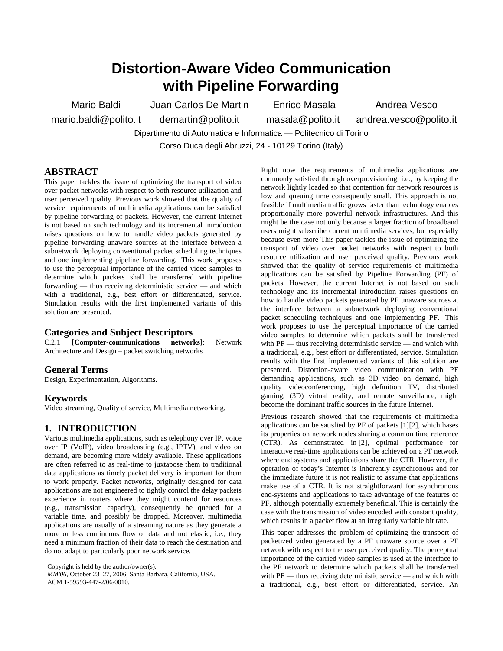# **Distortion-Aware Video Communication with Pipeline Forwarding**

Mario Baldi

mario.baldi@polito.it

Juan Carlos De Martin

Andrea Vesco andrea.vesco@polito.it

demartin@polito.it masala@polito.it

Enrico Masala

Dipartimento di Automatica e Informatica — Politecnico di Torino

Corso Duca degli Abruzzi, 24 - 10129 Torino (Italy)

## **ABSTRACT**

This paper tackles the issue of optimizing the transport of video over packet networks with respect to both resource utilization and user perceived quality. Previous work showed that the quality of service requirements of multimedia applications can be satisfied by pipeline forwarding of packets. However, the current Internet is not based on such technology and its incremental introduction raises questions on how to handle video packets generated by pipeline forwarding unaware sources at the interface between a subnetwork deploying conventional packet scheduling techniques and one implementing pipeline forwarding. This work proposes to use the perceptual importance of the carried video samples to determine which packets shall be transferred with pipeline forwarding — thus receiving deterministic service — and which with a traditional, e.g., best effort or differentiated, service. Simulation results with the first implemented variants of this solution are presented.

## **Categories and Subject Descriptors**

C.2.1 [**Computer-communications networks**]: Network Architecture and Design – packet switching networks

## **General Terms**

Design, Experimentation, Algorithms.

## **Keywords**

Video streaming, Quality of service, Multimedia networking.

## **1. INTRODUCTION**

Various multimedia applications, such as telephony over IP, voice over IP (VoIP), video broadcasting (e.g., IPTV), and video on demand, are becoming more widely available. These applications are often referred to as real-time to juxtapose them to traditional data applications as timely packet delivery is important for them to work properly. Packet networks, originally designed for data applications are not engineered to tightly control the delay packets experience in routers where they might contend for resources (e.g., transmission capacity), consequently be queued for a variable time, and possibly be dropped. Moreover, multimedia applications are usually of a streaming nature as they generate a more or less continuous flow of data and not elastic, i.e., they need a minimum fraction of their data to reach the destination and do not adapt to particularly poor network service.

Copyright is held by the author/owner(s).

*MM'06*, October 23–27, 2006, Santa Barbara, California, USA. ACM 1-59593-447-2/06/0010.

Right now the requirements of multimedia applications are commonly satisfied through overprovisioning, i.e., by keeping the network lightly loaded so that contention for network resources is low and queuing time consequently small. This approach is not feasible if multimedia traffic grows faster than technology enables proportionally more powerful network infrastructures. And this might be the case not only because a larger fraction of broadband users might subscribe current multimedia services, but especially because even more This paper tackles the issue of optimizing the transport of video over packet networks with respect to both resource utilization and user perceived quality. Previous work showed that the quality of service requirements of multimedia applications can be satisfied by Pipeline Forwarding (PF) of packets. However, the current Internet is not based on such technology and its incremental introduction raises questions on how to handle video packets generated by PF unaware sources at the interface between a subnetwork deploying conventional packet scheduling techniques and one implementing PF. This work proposes to use the perceptual importance of the carried video samples to determine which packets shall be transferred with PF — thus receiving deterministic service — and which with a traditional, e.g., best effort or differentiated, service. Simulation results with the first implemented variants of this solution are presented. Distortion-aware video communication with PF demanding applications, such as 3D video on demand, high quality videoconferencing, high definition TV, distributed gaming, (3D) virtual reality, and remote surveillance, might become the dominant traffic sources in the future Internet.

Previous research showed that the requirements of multimedia applications can be satisfied by PF of packets [1][2], which bases its properties on network nodes sharing a common time reference (CTR). As demonstrated in [2], optimal performance for interactive real-time applications can be achieved on a PF network where end systems and applications share the CTR. However, the operation of today's Internet is inherently asynchronous and for the immediate future it is not realistic to assume that applications make use of a CTR. It is not straightforward for asynchronous end-systems and applications to take advantage of the features of PF, although potentially extremely beneficial. This is certainly the case with the transmission of video encoded with constant quality, which results in a packet flow at an irregularly variable bit rate.

This paper addresses the problem of optimizing the transport of packetized video generated by a PF unaware source over a PF network with respect to the user perceived quality. The perceptual importance of the carried video samples is used at the interface to the PF network to determine which packets shall be transferred with PF — thus receiving deterministic service — and which with a traditional, e.g., best effort or differentiated, service. An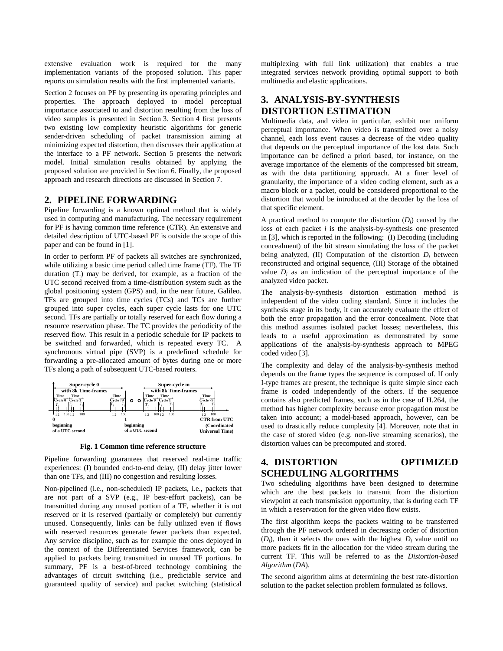extensive evaluation work is required for the many implementation variants of the proposed solution. This paper reports on simulation results with the first implemented variants.

Section 2 focuses on PF by presenting its operating principles and properties. The approach deployed to model perceptual importance associated to and distortion resulting from the loss of video samples is presented in Section 3. Section 4 first presents two existing low complexity heuristic algorithms for generic sender-driven scheduling of packet transmission aiming at minimizing expected distortion, then discusses their application at the interface to a PF network. Section 5 presents the network model. Initial simulation results obtained by applying the proposed solution are provided in Section 6. Finally, the proposed approach and research directions are discussed in Section 7.

## **2. PIPELINE FORWARDING**

Pipeline forwarding is a known optimal method that is widely used in computing and manufacturing. The necessary requirement for PF is having common time reference (CTR). An extensive and detailed description of UTC-based PF is outside the scope of this paper and can be found in [1].

In order to perform PF of packets all switches are synchronized, while utilizing a basic time period called time frame (TF). The TF duration  $(T_f)$  may be derived, for example, as a fraction of the UTC second received from a time-distribution system such as the global positioning system (GPS) and, in the near future, Galileo. TFs are grouped into time cycles (TCs) and TCs are further grouped into super cycles, each super cycle lasts for one UTC second. TFs are partially or totally reserved for each flow during a resource reservation phase. The TC provides the periodicity of the reserved flow. This result in a periodic schedule for IP packets to be switched and forwarded, which is repeated every TC. A synchronous virtual pipe (SVP) is a predefined schedule for forwarding a pre-allocated amount of bytes during one or more TFs along a path of subsequent UTC-based routers.



**Fig. 1 Common time reference structure** 

Pipeline forwarding guarantees that reserved real-time traffic experiences: (I) bounded end-to-end delay, (II) delay jitter lower than one TFs, and (III) no congestion and resulting losses.

Non-pipelined (i.e., non-scheduled) IP packets, i.e., packets that are not part of a SVP (e.g., IP best-effort packets), can be transmitted during any unused portion of a TF, whether it is not reserved or it is reserved (partially or completely) but currently unused. Consequently, links can be fully utilized even if flows with reserved resources generate fewer packets than expected. Any service discipline, such as for example the ones deployed in the context of the Differentiated Services framework, can be applied to packets being transmitted in unused TF portions. In summary, PF is a best-of-breed technology combining the advantages of circuit switching (i.e., predictable service and guaranteed quality of service) and packet switching (statistical

multiplexing with full link utilization) that enables a true integrated services network providing optimal support to both multimedia and elastic applications.

# **3. ANALYSIS-BY-SYNTHESIS DISTORTION ESTIMATION**

Multimedia data, and video in particular, exhibit non uniform perceptual importance. When video is transmitted over a noisy channel, each loss event causes a decrease of the video quality that depends on the perceptual importance of the lost data. Such importance can be defined a priori based, for instance, on the average importance of the elements of the compressed bit stream, as with the data partitioning approach. At a finer level of granularity, the importance of a video coding element, such as a macro block or a packet, could be considered proportional to the distortion that would be introduced at the decoder by the loss of that specific element.

A practical method to compute the distortion  $(D_i)$  caused by the loss of each packet *i* is the analysis-by-synthesis one presented in [3], which is reported in the following: (I) Decoding (including concealment) of the bit stream simulating the loss of the packet being analyzed, (II) Computation of the distortion *D<sup>i</sup>* between reconstructed and original sequence, (III) Storage of the obtained value  $D_i$  as an indication of the perceptual importance of the analyzed video packet.

The analysis-by-synthesis distortion estimation method is independent of the video coding standard. Since it includes the synthesis stage in its body, it can accurately evaluate the effect of both the error propagation and the error concealment. Note that this method assumes isolated packet losses; nevertheless, this leads to a useful approximation as demonstrated by some applications of the analysis-by-synthesis approach to MPEG coded video [3].

The complexity and delay of the analysis-by-synthesis method depends on the frame types the sequence is composed of. If only I-type frames are present, the technique is quite simple since each frame is coded independently of the others. If the sequence contains also predicted frames, such as in the case of H.264, the method has higher complexity because error propagation must be taken into account; a model-based approach, however, can be used to drastically reduce complexity [4]. Moreover, note that in the case of stored video (e.g. non-live streaming scenarios), the distortion values can be precomputed and stored.

## **4. DISTORTION OPTIMIZED SCHEDULING ALGORITHMS**

Two scheduling algorithms have been designed to determine which are the best packets to transmit from the distortion viewpoint at each transmission opportunity, that is during each TF in which a reservation for the given video flow exists.

The first algorithm keeps the packets waiting to be transferred through the PF network ordered in decreasing order of distortion  $(D_i)$ , then it selects the ones with the highest  $D_i$  value until no more packets fit in the allocation for the video stream during the current TF. This will be referred to as the *Distortion-based Algorithm* (*DA*).

The second algorithm aims at determining the best rate-distortion solution to the packet selection problem formulated as follows.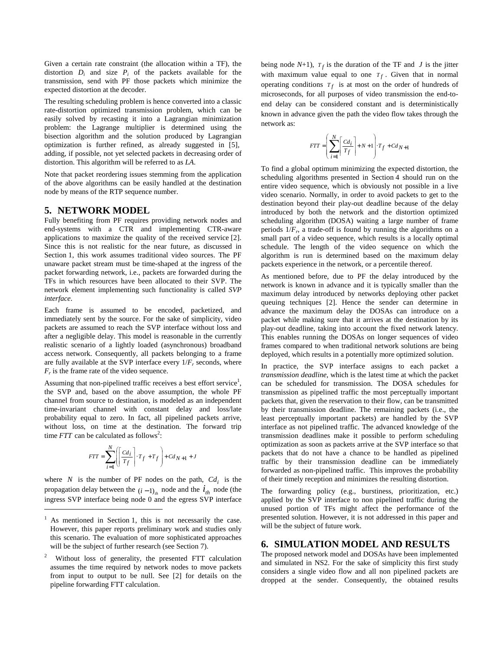Given a certain rate constraint (the allocation within a TF), the distortion  $D_i$  and size  $P_i$  of the packets available for the transmission, send with PF those packets which minimize the expected distortion at the decoder.

The resulting scheduling problem is hence converted into a classic rate-distortion optimized transmission problem, which can be easily solved by recasting it into a Lagrangian minimization problem: the Lagrange multiplier is determined using the bisection algorithm and the solution produced by Lagrangian optimization is further refined, as already suggested in [5], adding, if possible, not yet selected packets in decreasing order of distortion. This algorithm will be referred to as *LA*.

Note that packet reordering issues stemming from the application of the above algorithms can be easily handled at the destination node by means of the RTP sequence number.

#### **5. NETWORK MODEL**

Fully benefiting from PF requires providing network nodes and end-systems with a CTR and implementing CTR-aware applications to maximize the quality of the received service [2]. Since this is not realistic for the near future, as discussed in Section 1, this work assumes traditional video sources. The PF unaware packet stream must be time-shaped at the ingress of the packet forwarding network, i.e., packets are forwarded during the TFs in which resources have been allocated to their SVP. The network element implementing such functionality is called *SVP interface*.

Each frame is assumed to be encoded, packetized, and immediately sent by the source. For the sake of simplicity, video packets are assumed to reach the SVP interface without loss and after a negligible delay. This model is reasonable in the currently realistic scenario of a lightly loaded (asynchronous) broadband access network. Consequently, all packets belonging to a frame are fully available at the SVP interface every  $1/F_r$  seconds, where  $F_r$  is the frame rate of the video sequence.

Assuming that non-pipelined traffic receives a best effort service<sup>1</sup>, the SVP and, based on the above assumption, the whole PF channel from source to destination, is modeled as an independent time-invariant channel with constant delay and loss/late probability equal to zero. In fact, all pipelined packets arrive, without loss, on time at the destination. The forward trip time  $FTT$  can be calculated as follows<sup>2</sup>:

$$
FTT = \sum_{i=1}^{N} \left( \left[ \frac{Cd_i}{T_f} \right] \cdot T_f + T_f \right) + Cd_{N+1} + J
$$

where *N* is the number of PF nodes on the path,  $Cd<sub>i</sub>$  is the propagation delay between the  $(i-1)$ <sub>*ih*</sub> node and the  $\dot{i}_{th}$  node (the ingress SVP interface being node 0 and the egress SVP interface

1

being node  $N+1$ ),  $T_f$  is the duration of the TF and *J* is the jitter with maximum value equal to one  $T_f$ . Given that in normal operating conditions  $T_f$  is at most on the order of hundreds of microseconds, for all purposes of video transmission the end-toend delay can be considered constant and is deterministically known in advance given the path the video flow takes through the network as:

$$
FTT = \left(\sum_{i=1}^{N} \left\lceil \frac{Cd_i}{T_f} \right\rceil + N + 1\right) \cdot T_f + Cd_{N+1}
$$

To find a global optimum minimizing the expected distortion, the scheduling algorithms presented in Section 4 should run on the entire video sequence, which is obviously not possible in a live video scenario. Normally, in order to avoid packets to get to the destination beyond their play-out deadline because of the delay introduced by both the network and the distortion optimized scheduling algorithm (DOSA) waiting a large number of frame periods  $1/F_r$ , a trade-off is found by running the algorithms on a small part of a video sequence, which results is a locally optimal schedule. The length of the video sequence on which the algorithm is run is determined based on the maximum delay packets experience in the network, or a percentile thereof.

As mentioned before, due to PF the delay introduced by the network is known in advance and it is typically smaller than the maximum delay introduced by networks deploying other packet queuing techniques [2]. Hence the sender can determine in advance the maximum delay the DOSAs can introduce on a packet while making sure that it arrives at the destination by its play-out deadline, taking into account the fixed network latency. This enables running the DOSAs on longer sequences of video frames compared to when traditional network solutions are being deployed, which results in a potentially more optimized solution.

In practice, the SVP interface assigns to each packet a *transmission deadline*, which is the latest time at which the packet can be scheduled for transmission. The DOSA schedules for transmission as pipelined traffic the most perceptually important packets that, given the reservation to their flow, can be transmitted by their transmission deadline. The remaining packets (i.e., the least perceptually important packets) are handled by the SVP interface as not pipelined traffic. The advanced knowledge of the transmission deadlines make it possible to perform scheduling optimization as soon as packets arrive at the SVP interface so that packets that do not have a chance to be handled as pipelined traffic by their transmission deadline can be immediately forwarded as non-pipelined traffic. This improves the probability of their timely reception and minimizes the resulting distortion.

The forwarding policy (e.g., burstiness, prioritization, etc.) applied by the SVP interface to non pipelined traffic during the unused portion of TFs might affect the performance of the presented solution. However, it is not addressed in this paper and will be the subject of future work.

#### **6. SIMULATION MODEL AND RESULTS**

The proposed network model and DOSAs have been implemented and simulated in NS2. For the sake of simplicity this first study considers a single video flow and all non pipelined packets are dropped at the sender. Consequently, the obtained results

<sup>1</sup> As mentioned in Section 1, this is not necessarily the case. However, this paper reports preliminary work and studies only this scenario. The evaluation of more sophisticated approaches will be the subject of further research (see Section 7).

<sup>2</sup> Without loss of generality, the presented FTT calculation assumes the time required by network nodes to move packets from input to output to be null. See [2] for details on the pipeline forwarding FTT calculation.